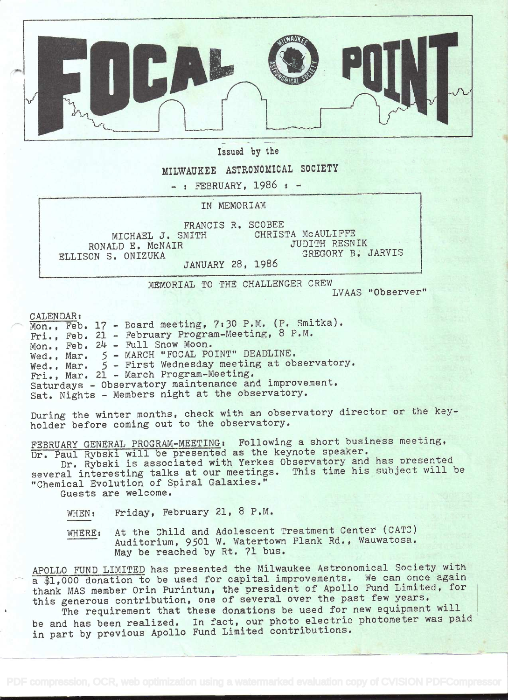

Issued by the

## MILWAUKEE ASTRONOMICAL SOCIETY

 $-$ : FEBRUARY, 1986 :  $-$ 

IN MEMORIAM

FRANCIS R. SCOBEE<br>MITH CHRISTA MCAULIFFE MICHAEL J. SMITH CHRISTA McAULIFFE RONALD E. MCNAIR JUDITH RESNIK<br>
ON S ONIZUKA<br>
GREGORY B. JARVIS ELLISON S. ONIZUKA

JANUARY 28, 1986

MEMORIAL TO THE CHALLENGER CREW LVAAS "Observer"

CALENDAR:<br>Mon., Feb. 17 - Board meeting, 7:30 P.M. (P. Smitka). Fri., Feb. 21 - February Program-Meeting, 8 P.M. Mon., Feb. 24 - Full Snow Moon. Wed., Mar. <sup>5</sup>- MARCH "FOCAL POINT" DEADLINE. Wed., Mar. <sup>5</sup>- First Wednesday meeting at observatory. Fri., Mar. 21 - March Program-Meeting. Saturdays - Observatory maintenance and improvement. Sat. Nights - Members night at the observatory.

During the winter months, check with an observatory director or the keyholder before coming out to the observatory.

FEBRUARY GENERAL PROGRAM-MEETING: Following a short business meeting, Dr. Paul Rybski will be presented as the keynote speaker.

Dr. Rybski is associated with Yerkes Observatory and has presented several interesting talks at our meetings. This time his subject will be "Chemical Evolution of Spiral Galaxies."

Guests are welcome.

WHEN: Friday, February 21, 8 P.M.

WHERE: At the Child and Adolescent Treatment Center (CATO) Auditorium, 9501 W. Watertown Plank Rd., Wauwatosa, May be reached by Rt. 71 bus.

APOLLO FUND LIMITED has presented the Milwaukee Astronomical Society with a \$1,000 donation to be used for capital improvements. We can once again thank MAS member Orin Purintun, the president of Apollo Fund Limited, for this generous contribution, one of several over the past few years.

The requirement that these donations be used for new equipment will be and has been realized. In fact, our photo electric photometer was paid in part by previous Apollo Fund Limited contributions.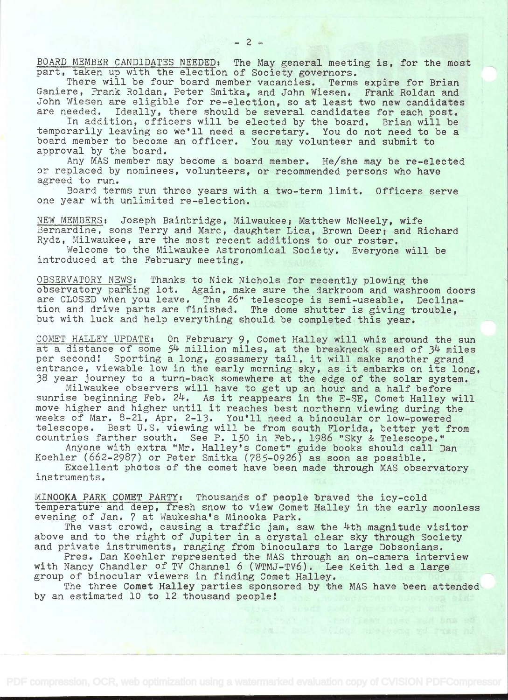BOARD MEMBER CANDIDATES NEEDED; The May general meeting is, for the most part, taken up with the election of Society governors.

There will be four board member vacancies. Terms expire for Brian Ganiere, Frank Roldan, Peter Smitka, and John Wiesen. Frank Roldan and John Wiesen are eligible for re-election, so at least two new candidates are needed. Ideally, there should be several candidates for each post.

In addition, officers will be elected by the board. Brian will be temporarily leaving so we'll need a secretary. You do not need to be a board member to become an officer. You may volunteer and submit to approval by the board.

Any MAS member may become a board member. He/she may be re-elected or replaced by nominees, volunteers, or recommended persons who have agreed to run.

Board terms run three years with a two-term limit. Officers serve one year with unlimited re-election.

NEW MEMBERS: Joseph Bainbridge, Milwaukee; Matthew McNeely, wife Bernardine, sons Terry and Marc, daughter Lica, Brown Deer; and Richard Rydz, Milwaukee, are the most recent additions to our roster,

Welcome to the Milwaukee Astronomical Society. Everyone will be introduced at the February meeting.

OBSERVATORY NEWS: Thanks to Nick Nichols for recently plowing the observatory parking lot. Again, make sure the darkroom and washroom doors are CLOSED when you leave, The 26" telescope is semi-useable. Declination and drive parts are finished. The dome shutter is giving trouble, but with luck and help everything should be completed this year.

COMET HALLEY UPDATE: On February 9, Comet Halley will whiz around the sun at a distance of some 54 million miles, at the breakneck speed of 34 miles per second! Sporting a long, gossamery tail, it will make another grand entrance, viewable low in the early morning sky, as it embarks on its long, 38 year journey to a turn-back somewhere at the edge of the solar system.

Milwaukee observers will have to get up an hour and a half before sunrise beginning Feb. 24. As it reappears in the E-SE, Comet Halley will move higher and higher until it reaches best northern viewing during the weeks of Mar. 8-21, Apr. 2-13. You'll need a binocular or low-powered telescope. Best U.S. viewing will be from south Florida, better yet from countries farther south. See P. 150 in Feb., 1986 "Sky & Telescope."

Anyone with extra "Mr. Halley's Comet" guide books should call Dan Koehler (662-2987) or Peter Smitka (785-0926) as soon as possible.

Excellent photos of the comet have been made through MAS observatory instruments.

MINOOKA PARK COMET PARTY: Thousands of people braved the icy-cold temperature and deep, fresh snow to view Comet Halley in the early moonless evening of Jan. 7 at Waukesha's Minooka Park.

The vast crowd, causing a traffic jam, saw the 4th magnitude visitor above and to the right of Jupiter in a crystal clear sky through Society and private instruments, ranging from binoculars to large Dobsonians.

Pres. Dan Koehler represented the MAS through an on-camera interview with Nancy Chandler of TV Channel 6 (WTMJ-TV6). Lee Keith led a large group of binocular viewers in finding Comet Halley.

The three Comet Halley parties sponsored by the MAS have been attended by an estimated 10 to 12 thousand people: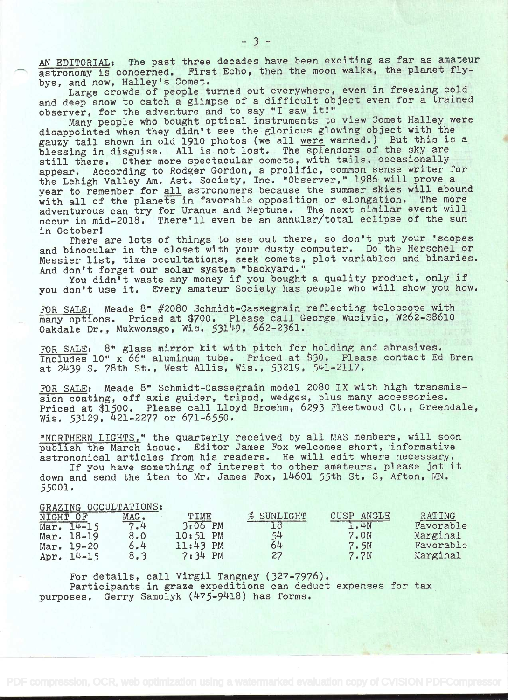AN EDITORIAL: The past three decades have been exciting as far as amateur astronomy is concerned. First Echo, then the moon walks, the planet flybys, and now, Halley's Comet.

Large crowds of people turned out everywhere, even in freezing cold and deep snow to catch a glimpse of a difficult object even for a trained observer, for the adventure and to say "I saw it!"

Many people who bought optical instruments to view Comet Halley were disappointed when they didn't see the glorious glowing object with the gauzy tail shown in old 1910 photos (we all were warned.) But this is a blessing in disguise. All is not lost. The splendors of the sky are still there. Other more spectacular comets, with tails, occasionally appear. According to Rodger Gordon, a prolific, common sense writer for the Lehigh Valley Am. Ast. Society, Inc. "Observer," 1986 will prove a year to remember for all astronomers because the summer skies will abound<br>with all of the planets in favorable opposition or elongation. The more with all of the planets in favorable opposition or elongation. adventurous can try for Uranus and Neptune. The next similar event will occur in mid-2018. There'll even be an annular/total eclipse of the sun in. October!

There are lots of things to see out there, so don't put your 'scopes and binocular in the closet with your dusty computer. Do the Herschel or Messier list, time occultations, seek comets, plot variables and binaries. And don't forget our solar system "backyard."

You didn't waste any money if you bought a quality product, only if you don't use it. Every amateur Society has people who will show you how.

FOR SALE: Meade 8" #2080 Schmidt-Cassegrain reflecting telescope with many options. Priced at \$700. Please call George Wucivic, W262-S8610 Oakdale Dr., Mukwonago, Wis. 53149, 662-2361.

FOR SALE: 8" glass mirror kit with pitch for holding and abrasives. Includes 10" x 66" aluminum tube. Priced at \$30. Please contact Ed Bren at 2439 S. 78th St., West Allis, Wis., 53219, 541-2117.

FOR SALE: Meade 8" Schmidt-Cassegrain model 2080 LX with high transmission coating, off axis guider, tripod, wedges, plus many accessories. Priced at \$1500. Please call Lloyd Broehm, 6293 Fleetwood Ct., Greendale, Wis. 53129, 421-2277 or 671-6550.

"NORTHERN LIGHTS," the quarterly received by all MAS members, will soon publish the March issue. Editor James Fox welcomes short, informative astronomical articles from his readers. He will edit where necessary.

If you have something of interest to other amateurs, please jot it down and send the item to Mr. James Fox, 14601 55th St. S, Afton, MN. 55001.

## GRAZING OCCULTATIONS:

| NIGHT OF     | $MAG$ . | TIME       | % SUNLIGHT | CUSP ANGLE       | RATING    |
|--------------|---------|------------|------------|------------------|-----------|
| Mar. $14-15$ | 7.4     | 3:06 PM    |            | 1.4N             | Favorable |
| Mar. 18-19   | 8.0     | $10:51$ PM | 54         | 7.0N             | Marginal  |
| Mar. 19-20   | 6.4     | $11:43$ PM | 64         | 7.5N             | Favorable |
| Apr. 14-15   |         | $7:34$ PM  | 27         | 7.7 <sub>N</sub> | Marginal  |

For details, call Virgil Tangney (327-7976). Participants in graze expeditions can deduct expenses for tax purposes. Gerry Samolyk (475-9418) has forms.